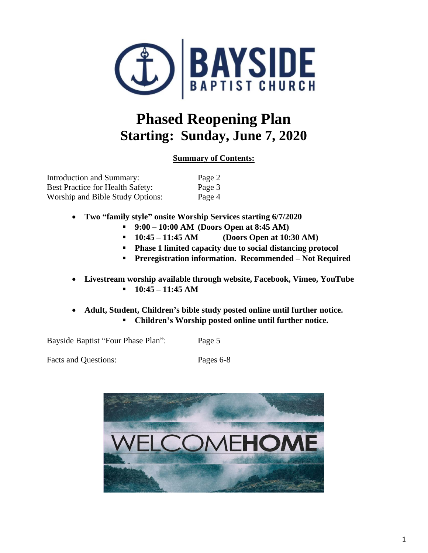

# **Phased Reopening Plan Starting: Sunday, June 7, 2020**

# **Summary of Contents:**

| Introduction and Summary:               | Page 2 |
|-----------------------------------------|--------|
| <b>Best Practice for Health Safety:</b> | Page 3 |
| Worship and Bible Study Options:        | Page 4 |

- **Two "family style" onsite Worship Services starting 6/7/2020**
	- **9:00 – 10:00 AM (Doors Open at 8:45 AM)**
	- **10:45 – 11:45 AM (Doors Open at 10:30 AM)**
	- **Phase 1 limited capacity due to social distancing protocol**
	- **Preregistration information. Recommended – Not Required**
- **Livestream worship available through website, Facebook, Vimeo, YouTube** ▪ **10:45 – 11:45 AM**
- **Adult, Student, Children's bible study posted online until further notice.** ▪ **Children's Worship posted online until further notice.**

Bayside Baptist "Four Phase Plan": Page 5

Facts and Questions: Pages 6-8

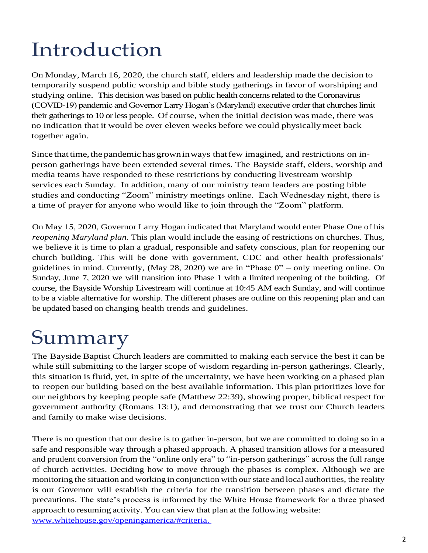# Introduction

On Monday, March 16, 2020, the church staff, elders and leadership made the decision to temporarily suspend public worship and bible study gatherings in favor of worshiping and studying online. This decision was based on public health concerns related to the Coronavirus (COVID-19) pandemic and Governor Larry Hogan's (Maryland) executive order that churches limit their gatherings to 10 or less people. Of course, when the initial decision was made, there was no indication that it would be over eleven weeks before we could physicallymeet back together again.

Since that time, the pandemic has grown in ways that few imagined, and restrictions on inperson gatherings have been extended several times. The Bayside staff, elders, worship and media teams have responded to these restrictions by conducting livestream worship services each Sunday. In addition, many of our ministry team leaders are posting bible studies and conducting "Zoom" ministry meetings online. Each Wednesday night, there is a time of prayer for anyone who would like to join through the "Zoom" platform.

On May 15, 2020, Governor Larry Hogan indicated that Maryland would enter Phase One of his *reopening Maryland plan.* This plan would include the easing of restrictions on churches. Thus, we believe it is time to plan a gradual, responsible and safety conscious, plan for reopening our church building. This will be done with government, CDC and other health professionals' guidelines in mind. Currently, (May 28, 2020) we are in "Phase 0" – only meeting online. On Sunday, June 7, 2020 we will transition into Phase 1 with a limited reopening of the building. Of course, the Bayside Worship Livestream will continue at 10:45 AM each Sunday, and will continue to be a viable alternative for worship. The different phases are outline on this reopening plan and can be updated based on changing health trends and guidelines.

# Summary

The Bayside Baptist Church leaders are committed to making each service the best it can be while still submitting to the larger scope of wisdom regarding in-person gatherings. Clearly, this situation is fluid, yet, in spite of the uncertainty, we have been working on a phased plan to reopen our building based on the best available information. This plan prioritizes love for our neighbors by keeping people safe (Matthew 22:39), showing proper, biblical respect for government authority (Romans 13:1), and demonstrating that we trust our Church leaders and family to make wise decisions.

There is no question that our desire is to gather in-person, but we are committed to doing so in a safe and responsible way through a phased approach. A phased transition allows for a measured and prudent conversion from the "online only era" to "in-person gatherings" across the full range of church activities. Deciding how to move through the phases is complex. Although we are monitoring the situation and working in conjunction with ourstate and local authorities, the reality is our Governor will establish the criteria for the transition between phases and dictate the precautions. The state's process is informed by the White House framework for a three phased approach to resuming activity. You can view that plan at the following website: [www.whitehouse.gov/openingamerica/#criteria.](http://www.whitehouse.gov/openingamerica/#criteria. )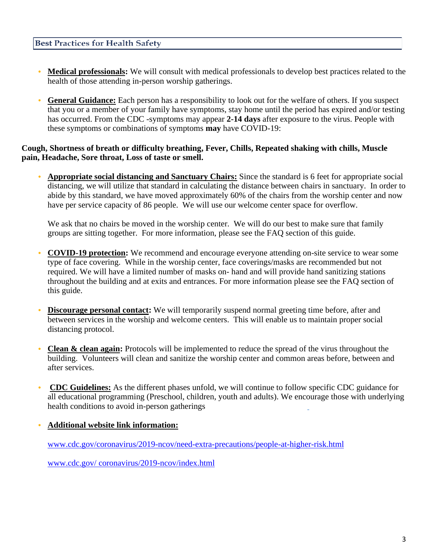#### **Best Practices for Health Safety**

- **• Medical professionals:** We will consult with medical professionals to develop best practices related to the health of those attending in-person worship gatherings.
- **• General Guidance:** Each person has a responsibility to look out for the welfare of others. If you suspect that you or a member of your family have symptoms, stay home until the period has expired and/or testing has occurred. From the CDC -symptoms may appear **2-14 days** after exposure to the virus. People with these symptoms or combinations of symptoms **may** have COVID-19:

#### **Cough, Shortness of breath or difficulty breathing, Fever, Chills, Repeated shaking with chills, Muscle pain, Headache, Sore throat, Loss of taste or smell.**

**• Appropriate social distancing and Sanctuary Chairs:** Since the standard is 6 feet for appropriate social distancing, we will utilize that standard in calculating the distance between chairs in sanctuary. In order to abide by this standard, we have moved approximately 60% of the chairs from the worship center and now have per service capacity of 86 people. We will use our welcome center space for overflow.

We ask that no chairs be moved in the worship center. We will do our best to make sure that family groups are sitting together. For more information, please see the FAQ section of this guide.

- **• COVID-19 protection:** We recommend and encourage everyone attending on-site service to wear some type of face covering. While in the worship center, face coverings/masks are recommended but not required. We will have a limited number of masks on- hand and will provide hand sanitizing stations throughout the building and at exits and entrances. For more information please see the FAQ section of this guide.
- **Discourage personal contact:** We will temporarily suspend normal greeting time before, after and between services in the worship and welcome centers. This will enable us to maintain proper social distancing protocol.
- **Clean & clean again:** Protocols will be implemented to reduce the spread of the virus throughout the building. Volunteers will clean and sanitize the worship center and common areas before, between and after services.
- **• CDC Guidelines:** As the different phases unfold, we will continue to follow specific CDC guidance for all educational programming (Preschool, children, youth and adults). We encourage those with underlying health conditions to avoid in-person gatherings
- **• Additional website link information:**

[www.cdc.gov/coronavirus/2019-ncov/need-extra-precautions/people-at-higher-risk.html](http://www.cdc.gov/coronavirus/2019-ncov/need-extra-precautions/people-at-higher-risk.html)

[www.cdc.gov/ coronavirus/2019-ncov/index.html](http://www.cdc.gov/%20coronavirus/2019-ncov/index.html)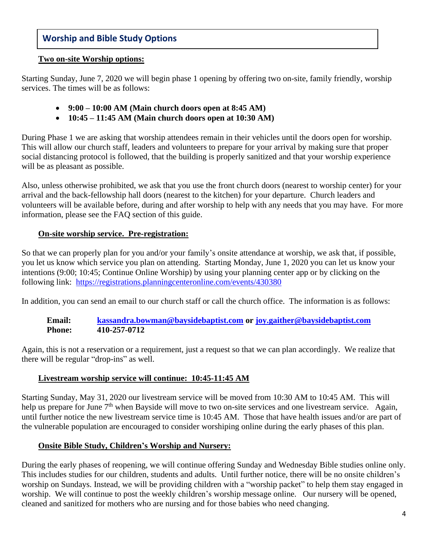# **Worship and Bible Study Options**

#### **Two on-site Worship options:**

Starting Sunday, June 7, 2020 we will begin phase 1 opening by offering two on-site, family friendly, worship services. The times will be as follows:

- **9:00 – 10:00 AM (Main church doors open at 8:45 AM)**
- **10:45 – 11:45 AM (Main church doors open at 10:30 AM)**

During Phase 1 we are asking that worship attendees remain in their vehicles until the doors open for worship. This will allow our church staff, leaders and volunteers to prepare for your arrival by making sure that proper social distancing protocol is followed, that the building is properly sanitized and that your worship experience will be as pleasant as possible.

Also, unless otherwise prohibited, we ask that you use the front church doors (nearest to worship center) for your arrival and the back-fellowship hall doors (nearest to the kitchen) for your departure. Church leaders and volunteers will be available before, during and after worship to help with any needs that you may have. For more information, please see the FAQ section of this guide.

#### **On-site worship service. Pre-registration:**

So that we can properly plan for you and/or your family's onsite attendance at worship, we ask that, if possible, you let us know which service you plan on attending. Starting Monday, June 1, 2020 you can let us know your intentions (9:00; 10:45; Continue Online Worship) by using your planning center app or by clicking on the following link: <https://registrations.planningcenteronline.com/events/430380>

In addition, you can send an email to our church staff or call the church office. The information is as follows:

**Email: [kassandra.bowman@baysidebaptist.com](mailto:kassandra.bowman@baysidebaptist.com) or [joy.gaither@baysidebaptist.com](mailto:joy.gaither@baysidebaptist.com) Phone: 410-257-0712**

Again, this is not a reservation or a requirement, just a request so that we can plan accordingly. We realize that there will be regular "drop-ins" as well.

#### **Livestream worship service will continue: 10:45-11:45 AM**

Starting Sunday, May 31, 2020 our livestream service will be moved from 10:30 AM to 10:45 AM. This will help us prepare for June 7<sup>th</sup> when Bayside will move to two on-site services and one livestream service. Again, until further notice the new livestream service time is 10:45 AM. Those that have health issues and/or are part of the vulnerable population are encouraged to consider worshiping online during the early phases of this plan.

# **Onsite Bible Study, Children's Worship and Nursery:**

During the early phases of reopening, we will continue offering Sunday and Wednesday Bible studies online only. This includes studies for our children, students and adults. Until further notice, there will be no onsite children's worship on Sundays. Instead, we will be providing children with a "worship packet" to help them stay engaged in worship. We will continue to post the weekly children's worship message online. Our nursery will be opened, cleaned and sanitized for mothers who are nursing and for those babies who need changing.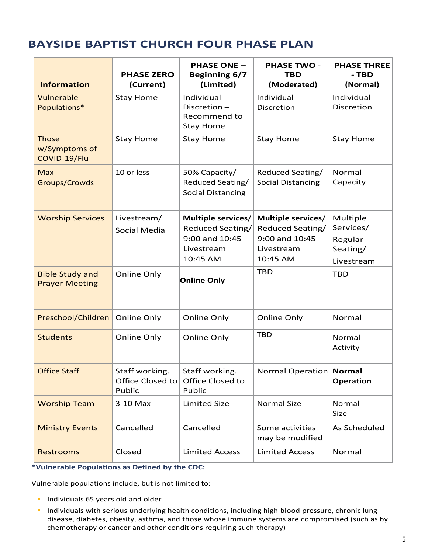# **BAYSIDE BAPTIST CHURCH FOUR PHASE PLAN**

| <b>Information</b>                              | <b>PHASE ZERO</b><br>(Current)               | <b>PHASE ONE -</b><br><b>Beginning 6/7</b><br>(Limited)                            | <b>PHASE TWO -</b><br><b>TBD</b><br>(Moderated)                                    | <b>PHASE THREE</b><br>- TBD<br>(Normal)                    |
|-------------------------------------------------|----------------------------------------------|------------------------------------------------------------------------------------|------------------------------------------------------------------------------------|------------------------------------------------------------|
| Vulnerable<br>Populations*                      | <b>Stay Home</b>                             | Individual<br>Discretion-<br>Recommend to<br><b>Stay Home</b>                      | Individual<br>Discretion                                                           | Individual<br>Discretion                                   |
| <b>Those</b><br>w/Symptoms of<br>COVID-19/Flu   | <b>Stay Home</b>                             | <b>Stay Home</b>                                                                   | <b>Stay Home</b>                                                                   | <b>Stay Home</b>                                           |
| <b>Max</b><br>Groups/Crowds                     | 10 or less                                   | 50% Capacity/<br>Reduced Seating/<br><b>Social Distancing</b>                      | Reduced Seating/<br><b>Social Distancing</b>                                       | Normal<br>Capacity                                         |
| <b>Worship Services</b>                         | Livestream/<br>Social Media                  | Multiple services/<br>Reduced Seating/<br>9:00 and 10:45<br>Livestream<br>10:45 AM | Multiple services/<br>Reduced Seating/<br>9:00 and 10:45<br>Livestream<br>10:45 AM | Multiple<br>Services/<br>Regular<br>Seating/<br>Livestream |
| <b>Bible Study and</b><br><b>Prayer Meeting</b> | Online Only                                  | <b>Online Only</b>                                                                 | <b>TBD</b>                                                                         | <b>TBD</b>                                                 |
| Preschool/Children                              | Online Only                                  | Online Only                                                                        | Online Only                                                                        | Normal                                                     |
| <b>Students</b>                                 | Online Only                                  | Online Only                                                                        | <b>TBD</b>                                                                         | Normal<br>Activity                                         |
| <b>Office Staff</b>                             | Staff working.<br>Office Closed to<br>Public | Staff working.<br>Office Closed to<br>Public                                       | Normal Operation Normal                                                            | <b>Operation</b>                                           |
| <b>Worship Team</b>                             | 3-10 Max                                     | <b>Limited Size</b>                                                                | <b>Normal Size</b>                                                                 | Normal<br>Size                                             |
| <b>Ministry Events</b>                          | Cancelled                                    | Cancelled                                                                          | Some activities<br>may be modified                                                 | As Scheduled                                               |
| <b>Restrooms</b>                                | Closed                                       | <b>Limited Access</b>                                                              | <b>Limited Access</b>                                                              | Normal                                                     |

**\*Vulnerable Populations as Defined by the CDC:** 

Vulnerable populations include, but is not limited to:

- **•** Individuals 65 years old and older
- **•** Individuals with serious underlying health conditions, including high blood pressure, chronic lung disease, diabetes, obesity, asthma, and those whose immune systems are compromised (such as by chemotherapy or cancer and other conditions requiring such therapy)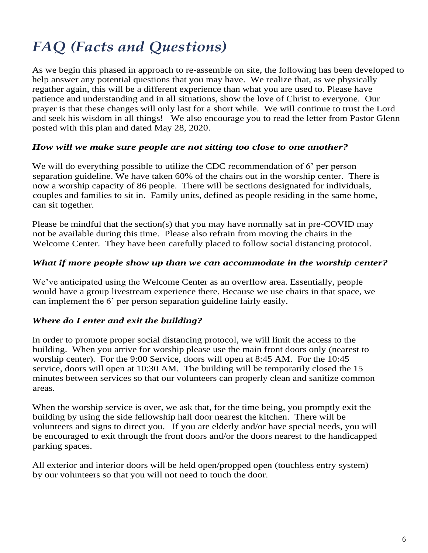# *FAQ (Facts and Questions)*

As we begin this phased in approach to re-assemble on site, the following has been developed to help answer any potential questions that you may have. We realize that, as we physically regather again, this will be a different experience than what you are used to. Please have patience and understanding and in all situations, show the love of Christ to everyone. Our prayer is that these changes will only last for a short while. We will continue to trust the Lord and seek his wisdom in all things! We also encourage you to read the letter from Pastor Glenn posted with this plan and dated May 28, 2020.

#### *How will we make sure people are not sitting too close to one another?*

We will do everything possible to utilize the CDC recommendation of 6' per person separation guideline. We have taken 60% of the chairs out in the worship center. There is now a worship capacity of 86 people. There will be sections designated for individuals, couples and families to sit in. Family units, defined as people residing in the same home, can sit together.

Please be mindful that the section(s) that you may have normally sat in pre-COVID may not be available during this time. Please also refrain from moving the chairs in the Welcome Center. They have been carefully placed to follow social distancing protocol.

#### *What if more people show up than we can accommodate in the worship center?*

We've anticipated using the Welcome Center as an overflow area. Essentially, people would have a group livestream experience there. Because we use chairs in that space, we can implement the 6' per person separation guideline fairly easily.

#### *Where do I enter and exit the building?*

In order to promote proper social distancing protocol, we will limit the access to the building. When you arrive for worship please use the main front doors only (nearest to worship center). For the 9:00 Service, doors will open at 8:45 AM. For the 10:45 service, doors will open at 10:30 AM. The building will be temporarily closed the 15 minutes between services so that our volunteers can properly clean and sanitize common areas.

When the worship service is over, we ask that, for the time being, you promptly exit the building by using the side fellowship hall door nearest the kitchen. There will be volunteers and signs to direct you. If you are elderly and/or have special needs, you will be encouraged to exit through the front doors and/or the doors nearest to the handicapped parking spaces.

All exterior and interior doors will be held open/propped open (touchless entry system) by our volunteers so that you will not need to touch the door.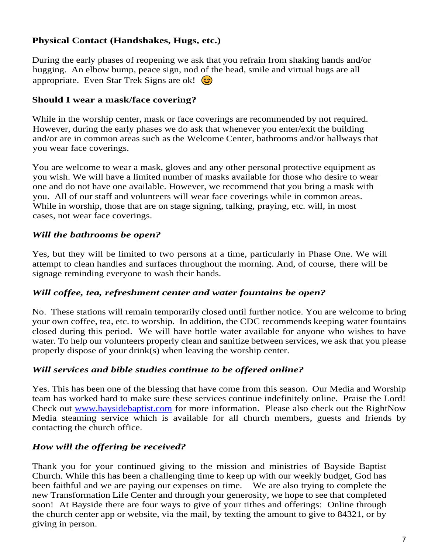# **Physical Contact (Handshakes, Hugs, etc.)**

During the early phases of reopening we ask that you refrain from shaking hands and/or hugging. An elbow bump, peace sign, nod of the head, smile and virtual hugs are all appropriate. Even Star Trek Signs are ok!

# **Should I wear a mask/face covering?**

While in the worship center, mask or face coverings are recommended by not required. However, during the early phases we do ask that whenever you enter/exit the building and/or are in common areas such as the Welcome Center, bathrooms and/or hallways that you wear face coverings.

You are welcome to wear a mask, gloves and any other personal protective equipment as you wish. We will have a limited number of masks available for those who desire to wear one and do not have one available. However, we recommend that you bring a mask with you. All of our staff and volunteers will wear face coverings while in common areas. While in worship, those that are on stage signing, talking, praying, etc. will, in most cases, not wear face coverings.

# *Will the bathrooms be open?*

Yes, but they will be limited to two persons at a time, particularly in Phase One. We will attempt to clean handles and surfaces throughout the morning. And, of course, there will be signage reminding everyone to wash their hands.

#### *Will coffee, tea, refreshment center and water fountains be open?*

No. These stations will remain temporarily closed until further notice. You are welcome to bring your own coffee, tea, etc. to worship. In addition, the CDC recommends keeping water fountains closed during this period. We will have bottle water available for anyone who wishes to have water. To help our volunteers properly clean and sanitize between services, we ask that you please properly dispose of your drink(s) when leaving the worship center.

#### *Will services and bible studies continue to be offered online?*

Yes. This has been one of the blessing that have come from this season. Our Media and Worship team has worked hard to make sure these services continue indefinitely online. Praise the Lord! Check out [www.baysidebaptist.com](http://www.baysidebaptist.com/) for more information. Please also check out the RightNow Media steaming service which is available for all church members, guests and friends by contacting the church office.

# *How will the offering be received?*

Thank you for your continued giving to the mission and ministries of Bayside Baptist Church. While this has been a challenging time to keep up with our weekly budget, God has been faithful and we are paying our expenses on time. We are also trying to complete the new Transformation Life Center and through your generosity, we hope to see that completed soon! At Bayside there are four ways to give of your tithes and offerings: Online through the church center app or website, via the mail, by texting the amount to give to 84321, or by giving in person.